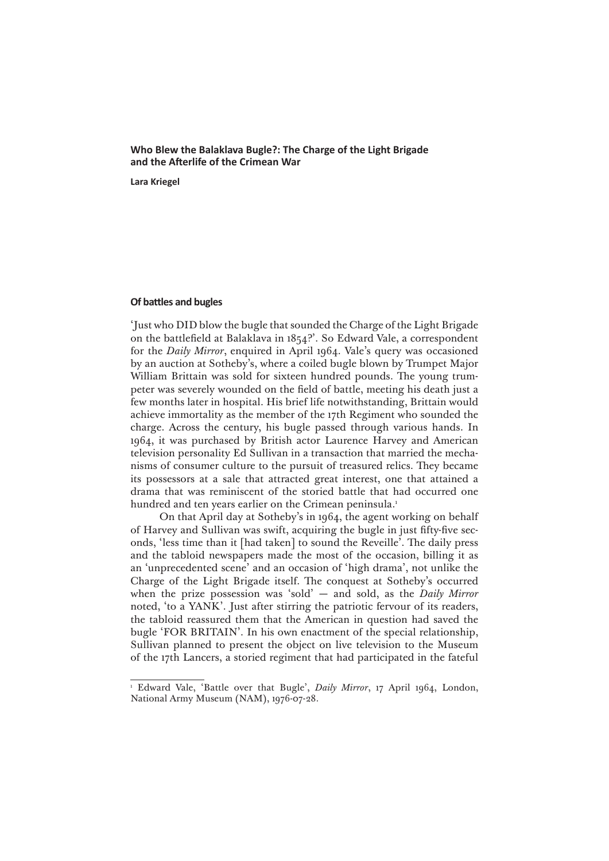# **Who Blew the Balaklava Bugle?: The Charge of the Light Brigade and the Afterlife of the Crimean War**

**Lara Kriegel**

## **Of battles and bugles**

'Just who DID blow the bugle that sounded the Charge of the Light Brigade on the battlefield at Balaklava in 1854?'. So Edward Vale, a correspondent for the *Daily Mirror*, enquired in April 1964. Vale's query was occasioned by an auction at Sotheby's, where a coiled bugle blown by Trumpet Major William Brittain was sold for sixteen hundred pounds. The young trumpeter was severely wounded on the field of battle, meeting his death just a few months later in hospital. His brief life notwithstanding, Brittain would achieve immortality as the member of the 17th Regiment who sounded the charge. Across the century, his bugle passed through various hands. In 1964, it was purchased by British actor Laurence Harvey and American television personality Ed Sullivan in a transaction that married the mechanisms of consumer culture to the pursuit of treasured relics. They became its possessors at a sale that attracted great interest, one that attained a drama that was reminiscent of the storied battle that had occurred one hundred and ten years earlier on the Crimean peninsula.<sup>1</sup>

On that April day at Sotheby's in 1964, the agent working on behalf of Harvey and Sullivan was swift, acquiring the bugle in just fifty-five seconds, 'less time than it [had taken] to sound the Reveille'. The daily press and the tabloid newspapers made the most of the occasion, billing it as an 'unprecedented scene' and an occasion of 'high drama', not unlike the Charge of the Light Brigade itself. The conquest at Sotheby's occurred when the prize possession was 'sold' — and sold, as the *Daily Mirror*  noted, 'to a YANK'. Just after stirring the patriotic fervour of its readers, the tabloid reassured them that the American in question had saved the bugle 'FOR BRITAIN'. In his own enactment of the special relationship, Sullivan planned to present the object on live television to the Museum of the 17th Lancers, a storied regiment that had participated in the fateful

<sup>1</sup> Edward Vale, 'Battle over that Bugle', *Daily Mirror*, 17 April 1964, London, National Army Museum (NAM), 1976-07-28.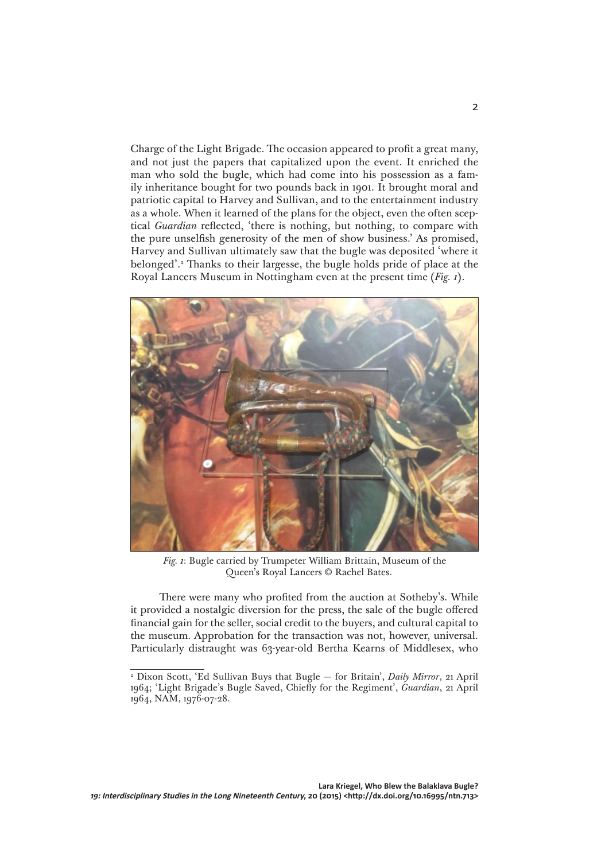Charge of the Light Brigade. The occasion appeared to profit a great many, and not just the papers that capitalized upon the event. It enriched the man who sold the bugle, which had come into his possession as a family inheritance bought for two pounds back in 1901. It brought moral and patriotic capital to Harvey and Sullivan, and to the entertainment industry as a whole. When it learned of the plans for the object, even the often sceptical *Guardian* reflected, 'there is nothing, but nothing, to compare with the pure unselfish generosity of the men of show business.' As promised, Harvey and Sullivan ultimately saw that the bugle was deposited 'where it belonged'.2 Thanks to their largesse, the bugle holds pride of place at the Royal Lancers Museum in Nottingham even at the present time (*Fig. 1*).



*Fig. 1*: Bugle carried by Trumpeter William Brittain, Museum of the Queen's Royal Lancers © Rachel Bates.

There were many who profited from the auction at Sotheby's. While it provided a nostalgic diversion for the press, the sale of the bugle offered financial gain for the seller, social credit to the buyers, and cultural capital to the museum. Approbation for the transaction was not, however, universal. Particularly distraught was 63-year-old Bertha Kearns of Middlesex, who

<sup>2</sup> Dixon Scott, 'Ed Sullivan Buys that Bugle — for Britain', *Daily Mirror*, 21 April 1964; 'Light Brigade's Bugle Saved, Chiefly for the Regiment', *Guardian*, 21 April 1964, NAM, 1976-07-28.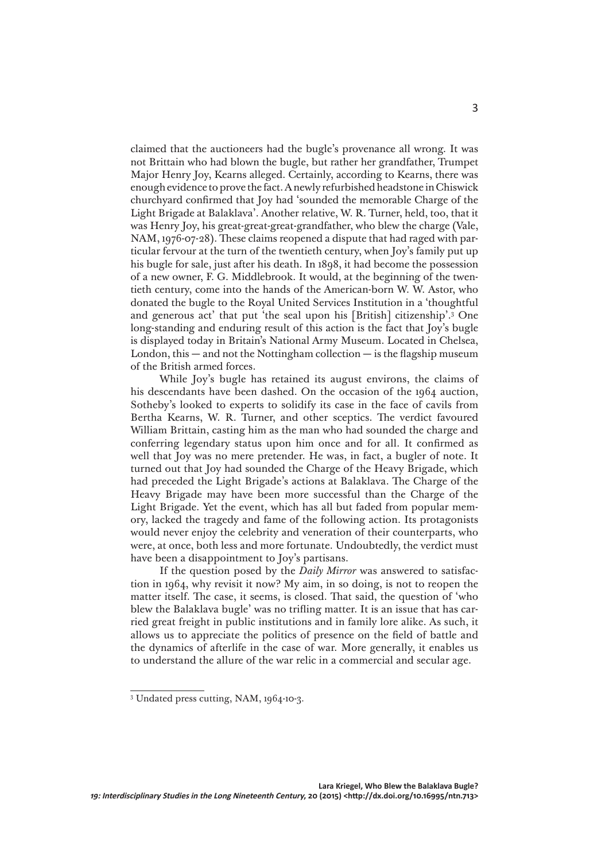claimed that the auctioneers had the bugle's provenance all wrong. It was not Brittain who had blown the bugle, but rather her grandfather, Trumpet Major Henry Joy, Kearns alleged. Certainly, according to Kearns, there was enough evidence to prove the fact. A newly refurbished headstone in Chiswick churchyard confirmed that Joy had 'sounded the memorable Charge of the Light Brigade at Balaklava'. Another relative, W. R. Turner, held, too, that it was Henry Joy, his great-great-great-grandfather, who blew the charge (Vale, NAM, 1976-07-28). These claims reopened a dispute that had raged with particular fervour at the turn of the twentieth century, when Joy's family put up his bugle for sale, just after his death. In 1898, it had become the possession of a new owner, F. G. Middlebrook. It would, at the beginning of the twentieth century, come into the hands of the American-born W. W. Astor, who donated the bugle to the Royal United Services Institution in a 'thoughtful and generous act' that put 'the seal upon his [British] citizenship'.3 One long-standing and enduring result of this action is the fact that Joy's bugle is displayed today in Britain's National Army Museum. Located in Chelsea, London, this  $-$  and not the Nottingham collection  $-$  is the flagship museum of the British armed forces.

While Joy's bugle has retained its august environs, the claims of his descendants have been dashed. On the occasion of the 1964 auction, Sotheby's looked to experts to solidify its case in the face of cavils from Bertha Kearns, W. R. Turner, and other sceptics. The verdict favoured William Brittain, casting him as the man who had sounded the charge and conferring legendary status upon him once and for all. It confirmed as well that Joy was no mere pretender. He was, in fact, a bugler of note. It turned out that Joy had sounded the Charge of the Heavy Brigade, which had preceded the Light Brigade's actions at Balaklava. The Charge of the Heavy Brigade may have been more successful than the Charge of the Light Brigade. Yet the event, which has all but faded from popular memory, lacked the tragedy and fame of the following action. Its protagonists would never enjoy the celebrity and veneration of their counterparts, who were, at once, both less and more fortunate. Undoubtedly, the verdict must have been a disappointment to Joy's partisans.

If the question posed by the *Daily Mirror* was answered to satisfaction in 1964, why revisit it now? My aim, in so doing, is not to reopen the matter itself. The case, it seems, is closed. That said, the question of 'who blew the Balaklava bugle' was no trifling matter. It is an issue that has carried great freight in public institutions and in family lore alike. As such, it allows us to appreciate the politics of presence on the field of battle and the dynamics of afterlife in the case of war. More generally, it enables us to understand the allure of the war relic in a commercial and secular age.

<sup>3</sup> Undated press cutting, NAM, 1964-10-3.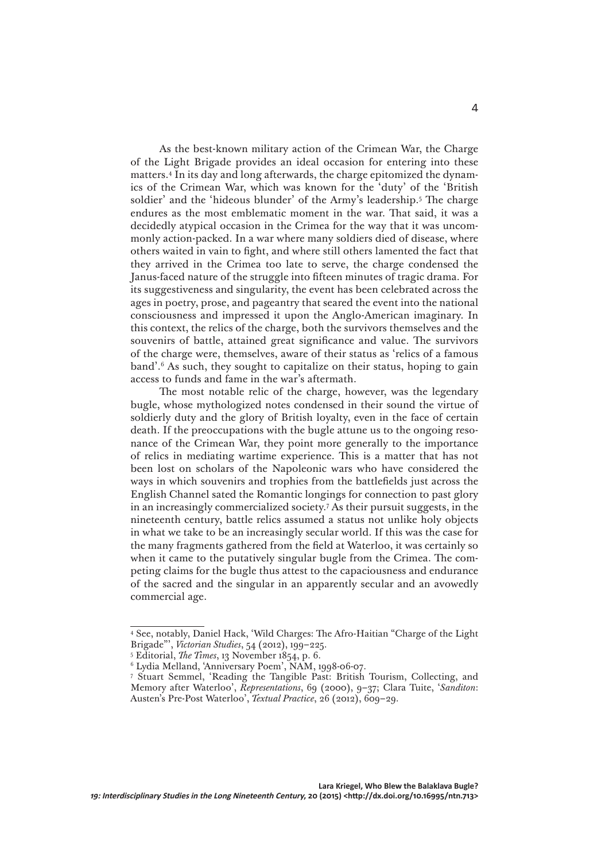As the best-known military action of the Crimean War, the Charge of the Light Brigade provides an ideal occasion for entering into these matters.4 In its day and long afterwards, the charge epitomized the dynamics of the Crimean War, which was known for the 'duty' of the 'British soldier' and the 'hideous blunder' of the Army's leadership.5 The charge endures as the most emblematic moment in the war. That said, it was a decidedly atypical occasion in the Crimea for the way that it was uncommonly action-packed. In a war where many soldiers died of disease, where others waited in vain to fight, and where still others lamented the fact that they arrived in the Crimea too late to serve, the charge condensed the Janus-faced nature of the struggle into fifteen minutes of tragic drama. For its suggestiveness and singularity, the event has been celebrated across the ages in poetry, prose, and pageantry that seared the event into the national consciousness and impressed it upon the Anglo-American imaginary. In this context, the relics of the charge, both the survivors themselves and the souvenirs of battle, attained great significance and value. The survivors of the charge were, themselves, aware of their status as 'relics of a famous band'.6 As such, they sought to capitalize on their status, hoping to gain access to funds and fame in the war's aftermath.

The most notable relic of the charge, however, was the legendary bugle, whose mythologized notes condensed in their sound the virtue of soldierly duty and the glory of British loyalty, even in the face of certain death. If the preoccupations with the bugle attune us to the ongoing resonance of the Crimean War, they point more generally to the importance of relics in mediating wartime experience. This is a matter that has not been lost on scholars of the Napoleonic wars who have considered the ways in which souvenirs and trophies from the battlefields just across the English Channel sated the Romantic longings for connection to past glory in an increasingly commercialized society.7 As their pursuit suggests, in the nineteenth century, battle relics assumed a status not unlike holy objects in what we take to be an increasingly secular world. If this was the case for the many fragments gathered from the field at Waterloo, it was certainly so when it came to the putatively singular bugle from the Crimea. The competing claims for the bugle thus attest to the capaciousness and endurance of the sacred and the singular in an apparently secular and an avowedly commercial age.

<sup>4</sup> See, notably, Daniel Hack, 'Wild Charges: The Afro-Haitian "Charge of the Light Brigade"', *Victorian Studies*, 54 (2012), 199–225.

<sup>5</sup> Editorial, *The Times*, 13 November 1854, p. 6.

<sup>6</sup> Lydia Melland, 'Anniversary Poem', NAM, 1998-06-07.

<sup>7</sup> Stuart Semmel, 'Reading the Tangible Past: British Tourism, Collecting, and Memory after Waterloo', *Representations*, 69 (2000), 9–37; Clara Tuite, '*Sanditon*: Austen's Pre-Post Waterloo', *Textual Practice*, 26 (2012), 609–29.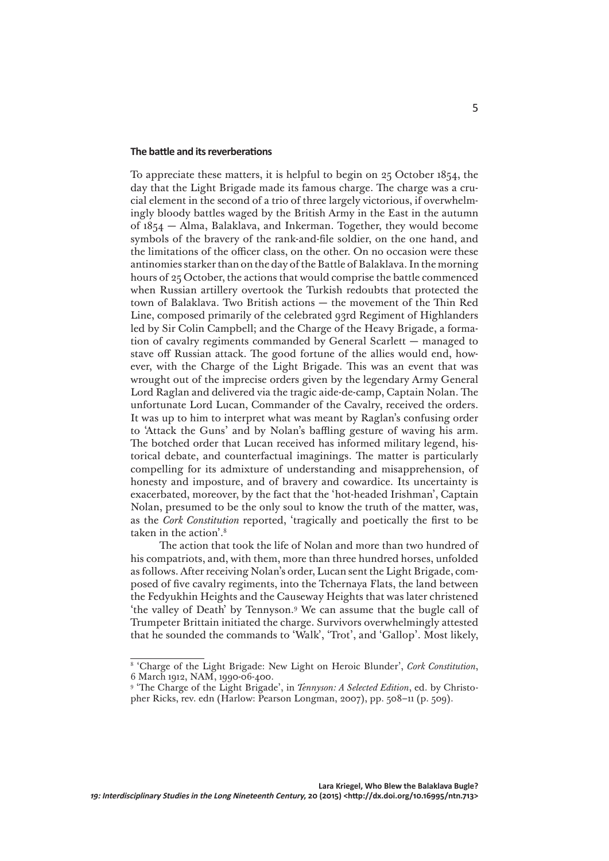#### **The battle and itsreverberations**

To appreciate these matters, it is helpful to begin on 25 October 1854, the day that the Light Brigade made its famous charge. The charge was a crucial element in the second of a trio of three largely victorious, if overwhelmingly bloody battles waged by the British Army in the East in the autumn of 1854 — Alma, Balaklava, and Inkerman. Together, they would become symbols of the bravery of the rank-and-file soldier, on the one hand, and the limitations of the officer class, on the other. On no occasion were these antinomies starker than on the day of the Battle of Balaklava. In the morning hours of 25 October, the actions that would comprise the battle commenced when Russian artillery overtook the Turkish redoubts that protected the town of Balaklava. Two British actions — the movement of the Thin Red Line, composed primarily of the celebrated 93rd Regiment of Highlanders led by Sir Colin Campbell; and the Charge of the Heavy Brigade, a formation of cavalry regiments commanded by General Scarlett — managed to stave off Russian attack. The good fortune of the allies would end, however, with the Charge of the Light Brigade. This was an event that was wrought out of the imprecise orders given by the legendary Army General Lord Raglan and delivered via the tragic aide-de-camp, Captain Nolan. The unfortunate Lord Lucan, Commander of the Cavalry, received the orders. It was up to him to interpret what was meant by Raglan's confusing order to 'Attack the Guns' and by Nolan's baffling gesture of waving his arm. The botched order that Lucan received has informed military legend, historical debate, and counterfactual imaginings. The matter is particularly compelling for its admixture of understanding and misapprehension, of honesty and imposture, and of bravery and cowardice. Its uncertainty is exacerbated, moreover, by the fact that the 'hot-headed Irishman', Captain Nolan, presumed to be the only soul to know the truth of the matter, was, as the *Cork Constitution* reported, 'tragically and poetically the first to be taken in the action'.8

The action that took the life of Nolan and more than two hundred of his compatriots, and, with them, more than three hundred horses, unfolded as follows. After receiving Nolan's order, Lucan sent the Light Brigade, composed of five cavalry regiments, into the Tchernaya Flats, the land between the Fedyukhin Heights and the Causeway Heights that was later christened 'the valley of Death' by Tennyson.9 We can assume that the bugle call of Trumpeter Brittain initiated the charge. Survivors overwhelmingly attested that he sounded the commands to 'Walk', 'Trot', and 'Gallop'. Most likely,

<sup>&</sup>lt;sup>8</sup> 'Charge of the Light Brigade: New Light on Heroic Blunder', *Cork Constitution*, 6 March 1912, NAM, 1990-06-400.

<sup>&</sup>lt;sup>9</sup> 'The Charge of the Light Brigade', in *Tennyson: A Selected Edition*, ed. by Christopher Ricks, rev. edn (Harlow: Pearson Longman, 2007), pp. 508–11 (p. 509).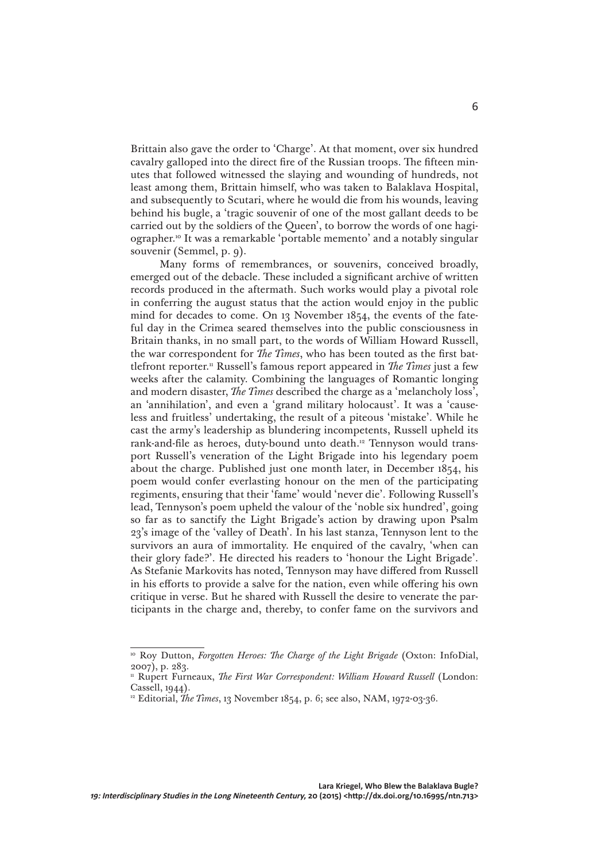Brittain also gave the order to 'Charge'. At that moment, over six hundred cavalry galloped into the direct fire of the Russian troops. The fifteen minutes that followed witnessed the slaying and wounding of hundreds, not least among them, Brittain himself, who was taken to Balaklava Hospital, and subsequently to Scutari, where he would die from his wounds, leaving behind his bugle, a 'tragic souvenir of one of the most gallant deeds to be carried out by the soldiers of the Queen', to borrow the words of one hagiographer.10 It was a remarkable 'portable memento' and a notably singular souvenir (Semmel, p. 9).

Many forms of remembrances, or souvenirs, conceived broadly, emerged out of the debacle. These included a significant archive of written records produced in the aftermath. Such works would play a pivotal role in conferring the august status that the action would enjoy in the public mind for decades to come. On 13 November 1854, the events of the fateful day in the Crimea seared themselves into the public consciousness in Britain thanks, in no small part, to the words of William Howard Russell, the war correspondent for *The Times*, who has been touted as the first battlefront reporter.11 Russell's famous report appeared in *The Times* just a few weeks after the calamity. Combining the languages of Romantic longing and modern disaster, *The Times* described the charge as a 'melancholy loss', an 'annihilation', and even a 'grand military holocaust'. It was a 'causeless and fruitless' undertaking, the result of a piteous 'mistake'. While he cast the army's leadership as blundering incompetents, Russell upheld its rank-and-file as heroes, duty-bound unto death.<sup>12</sup> Tennyson would transport Russell's veneration of the Light Brigade into his legendary poem about the charge. Published just one month later, in December 1854, his poem would confer everlasting honour on the men of the participating regiments, ensuring that their 'fame' would 'never die'. Following Russell's lead, Tennyson's poem upheld the valour of the 'noble six hundred', going so far as to sanctify the Light Brigade's action by drawing upon Psalm 23's image of the 'valley of Death'. In his last stanza, Tennyson lent to the survivors an aura of immortality. He enquired of the cavalry, 'when can their glory fade?'. He directed his readers to 'honour the Light Brigade'. As Stefanie Markovits has noted, Tennyson may have differed from Russell in his efforts to provide a salve for the nation, even while offering his own critique in verse. But he shared with Russell the desire to venerate the participants in the charge and, thereby, to confer fame on the survivors and

<sup>&</sup>lt;sup>10</sup> Roy Dutton, *Forgotten Heroes: The Charge of the Light Brigade* (Oxton: InfoDial, 2007), p. 283.

<sup>&</sup>lt;sup>11</sup> Rupert Furneaux, *The First War Correspondent: William Howard Russell* (London: Cassell, 1944).

<sup>&</sup>lt;sup>12</sup> Editorial, *The Times*, 13 November 1854, p. 6; see also, NAM, 1972-03-36.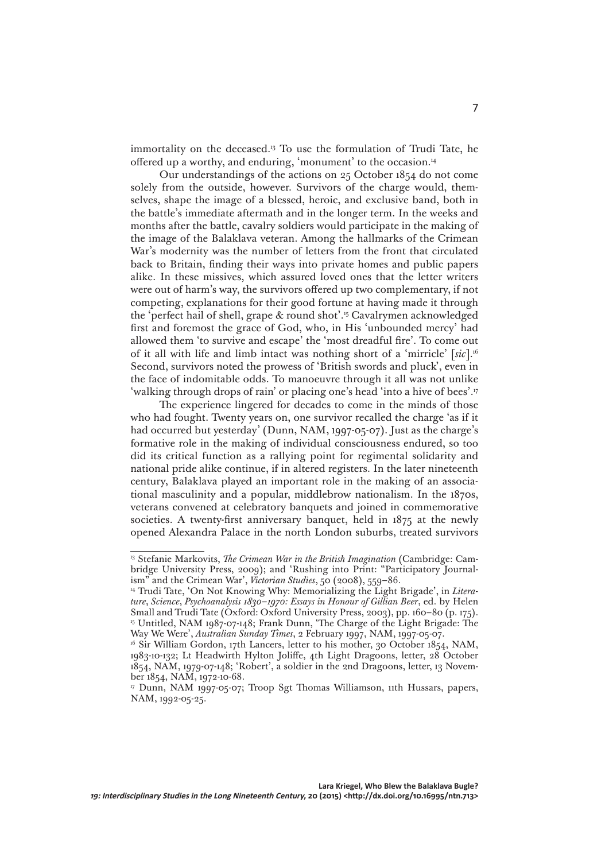immortality on the deceased.13 To use the formulation of Trudi Tate, he offered up a worthy, and enduring, 'monument' to the occasion.14

Our understandings of the actions on 25 October 1854 do not come solely from the outside, however. Survivors of the charge would, themselves, shape the image of a blessed, heroic, and exclusive band, both in the battle's immediate aftermath and in the longer term. In the weeks and months after the battle, cavalry soldiers would participate in the making of the image of the Balaklava veteran. Among the hallmarks of the Crimean War's modernity was the number of letters from the front that circulated back to Britain, finding their ways into private homes and public papers alike. In these missives, which assured loved ones that the letter writers were out of harm's way, the survivors offered up two complementary, if not competing, explanations for their good fortune at having made it through the 'perfect hail of shell, grape & round shot'.15 Cavalrymen acknowledged first and foremost the grace of God, who, in His 'unbounded mercy' had allowed them 'to survive and escape' the 'most dreadful fire'. To come out of it all with life and limb intact was nothing short of a 'mirricle' [*sic*].16 Second, survivors noted the prowess of 'British swords and pluck', even in the face of indomitable odds. To manoeuvre through it all was not unlike 'walking through drops of rain' or placing one's head 'into a hive of bees'.<sup>17</sup>

The experience lingered for decades to come in the minds of those who had fought. Twenty years on, one survivor recalled the charge 'as if it had occurred but yesterday' (Dunn, NAM, 1997-05-07). Just as the charge's formative role in the making of individual consciousness endured, so too did its critical function as a rallying point for regimental solidarity and national pride alike continue, if in altered registers. In the later nineteenth century, Balaklava played an important role in the making of an associational masculinity and a popular, middlebrow nationalism. In the 1870s, veterans convened at celebratory banquets and joined in commemorative societies. A twenty-first anniversary banquet, held in 1875 at the newly opened Alexandra Palace in the north London suburbs, treated survivors

<sup>&</sup>lt;sup>13</sup> Stefanie Markovits, *The Crimean War in the British Imagination* (Cambridge: Cambridge University Press, 2009); and 'Rushing into Print: "Participatory Journalism" and the Crimean War', *Victorian Studies*, 50 (2008), 559–86.

<sup>14</sup> Trudi Tate, 'On Not Knowing Why: Memorializing the Light Brigade', in *Literature*, *Science*, *Psychoanalysis 1830–1970: Essays in Honour of Gillian Beer*, ed. by Helen Small and Trudi Tate (Oxford: Oxford University Press, 2003), pp. 160-80 (p. 175). 15 Untitled, NAM 1987-07-148; Frank Dunn, 'The Charge of the Light Brigade: The Way We Were', *Australian Sunday Times*, 2 February 1997, NAM, 1997-05-07.

<sup>&</sup>lt;sup>16</sup> Sir William Gordon, 17th Lancers, letter to his mother, 30 October 1854, NAM, 1983-10-132; Lt Headwirth Hylton Joliffe, 4th Light Dragoons, letter, 28 October 1854, NAM, 1979-07-148; 'Robert', a soldier in the 2nd Dragoons, letter, 13 November 1854, NAM, 1972-10-68.

<sup>&</sup>lt;sup>17</sup> Dunn, NAM 1997-05-07; Troop Sgt Thomas Williamson, 11th Hussars, papers, NAM, 1992-05-25.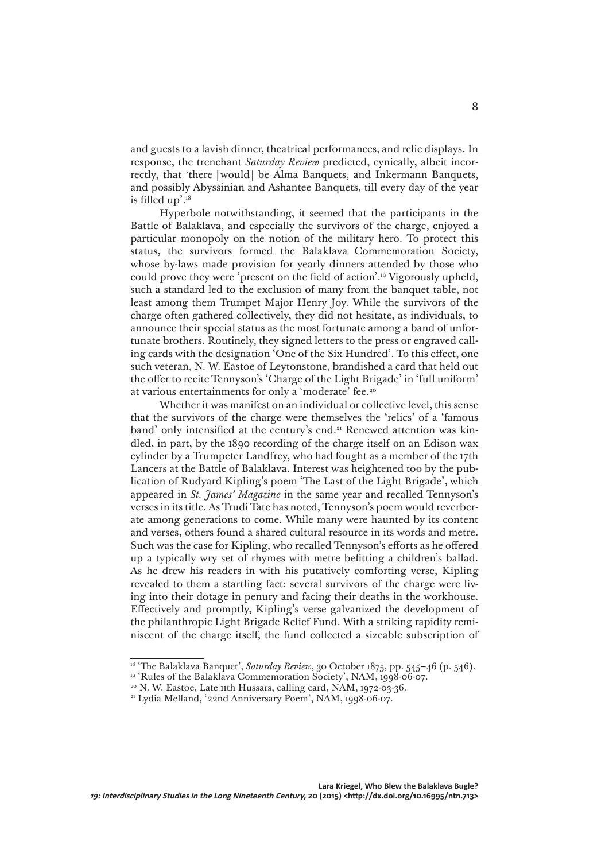and guests to a lavish dinner, theatrical performances, and relic displays. In response, the trenchant *Saturday Review* predicted, cynically, albeit incorrectly, that 'there [would] be Alma Banquets, and Inkermann Banquets, and possibly Abyssinian and Ashantee Banquets, till every day of the year is filled up'. $18$ 

Hyperbole notwithstanding, it seemed that the participants in the Battle of Balaklava, and especially the survivors of the charge, enjoyed a particular monopoly on the notion of the military hero. To protect this status, the survivors formed the Balaklava Commemoration Society, whose by-laws made provision for yearly dinners attended by those who could prove they were 'present on the field of action'.19 Vigorously upheld, such a standard led to the exclusion of many from the banquet table, not least among them Trumpet Major Henry Joy. While the survivors of the charge often gathered collectively, they did not hesitate, as individuals, to announce their special status as the most fortunate among a band of unfortunate brothers. Routinely, they signed letters to the press or engraved calling cards with the designation 'One of the Six Hundred'. To this effect, one such veteran, N. W. Eastoe of Leytonstone, brandished a card that held out the offer to recite Tennyson's 'Charge of the Light Brigade' in 'full uniform' at various entertainments for only a 'moderate' fee.20

Whether it was manifest on an individual or collective level, this sense that the survivors of the charge were themselves the 'relics' of a 'famous band' only intensified at the century's end.<sup>21</sup> Renewed attention was kindled, in part, by the 1890 recording of the charge itself on an Edison wax cylinder by a Trumpeter Landfrey, who had fought as a member of the 17th Lancers at the Battle of Balaklava. Interest was heightened too by the publication of Rudyard Kipling's poem 'The Last of the Light Brigade', which appeared in *St. James' Magazine* in the same year and recalled Tennyson's verses in its title. As Trudi Tate has noted, Tennyson's poem would reverberate among generations to come. While many were haunted by its content and verses, others found a shared cultural resource in its words and metre. Such was the case for Kipling, who recalled Tennyson's efforts as he offered up a typically wry set of rhymes with metre befitting a children's ballad. As he drew his readers in with his putatively comforting verse, Kipling revealed to them a startling fact: several survivors of the charge were living into their dotage in penury and facing their deaths in the workhouse. Effectively and promptly, Kipling's verse galvanized the development of the philanthropic Light Brigade Relief Fund. With a striking rapidity reminiscent of the charge itself, the fund collected a sizeable subscription of

<sup>&</sup>lt;sup>18</sup> 'The Balaklava Banquet', *Saturday Review*, 30 October 1875, pp. 545-46 (p. 546).

<sup>&</sup>lt;sup>19</sup> 'Rules of the Balaklava Commemoration Society', NAM, 1998-06-07.

<sup>&</sup>lt;sup>20</sup> N. W. Eastoe, Late 11th Hussars, calling card, NAM, 1972-03-36.

<sup>&</sup>lt;sup>21</sup> Lydia Melland, '22nd Anniversary Poem', NAM, 1998-06-07.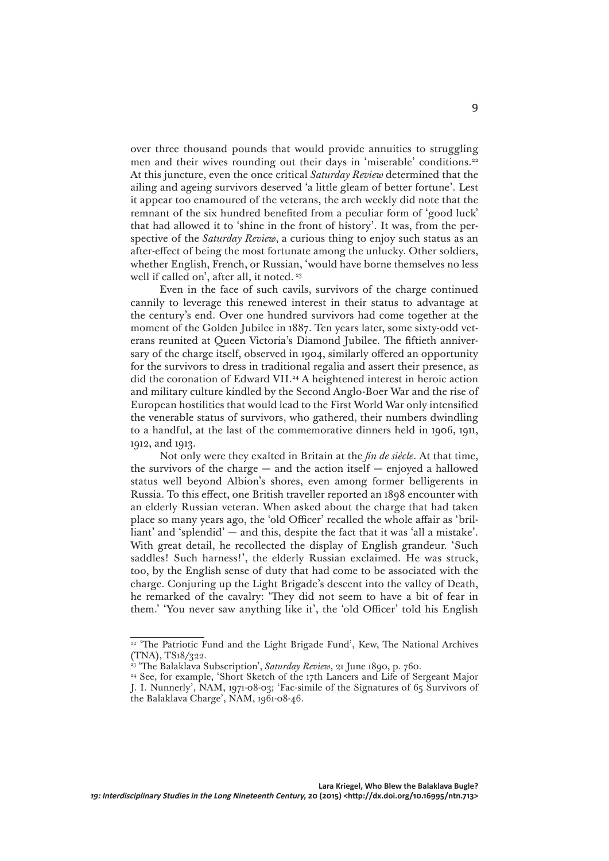over three thousand pounds that would provide annuities to struggling men and their wives rounding out their days in 'miserable' conditions.<sup>22</sup> At this juncture, even the once critical *Saturday Review* determined that the ailing and ageing survivors deserved 'a little gleam of better fortune'. Lest it appear too enamoured of the veterans, the arch weekly did note that the remnant of the six hundred benefited from a peculiar form of 'good luck' that had allowed it to 'shine in the front of history'. It was, from the perspective of the *Saturday Review*, a curious thing to enjoy such status as an after-effect of being the most fortunate among the unlucky. Other soldiers, whether English, French, or Russian, 'would have borne themselves no less well if called on', after all, it noted. <sup>23</sup>

Even in the face of such cavils, survivors of the charge continued cannily to leverage this renewed interest in their status to advantage at the century's end. Over one hundred survivors had come together at the moment of the Golden Jubilee in 1887. Ten years later, some sixty-odd veterans reunited at Queen Victoria's Diamond Jubilee. The fiftieth anniversary of the charge itself, observed in 1904, similarly offered an opportunity for the survivors to dress in traditional regalia and assert their presence, as did the coronation of Edward VII.<sup>24</sup> A heightened interest in heroic action and military culture kindled by the Second Anglo-Boer War and the rise of European hostilities that would lead to the First World War only intensified the venerable status of survivors, who gathered, their numbers dwindling to a handful, at the last of the commemorative dinners held in 1906, 1911, 1912, and 1913.

Not only were they exalted in Britain at the *fin de siècle*. At that time, the survivors of the charge  $-$  and the action itself  $-$  enjoyed a hallowed status well beyond Albion's shores, even among former belligerents in Russia. To this effect, one British traveller reported an 1898 encounter with an elderly Russian veteran. When asked about the charge that had taken place so many years ago, the 'old Officer' recalled the whole affair as 'brilliant' and 'splendid' — and this, despite the fact that it was 'all a mistake'. With great detail, he recollected the display of English grandeur. 'Such saddles! Such harness!', the elderly Russian exclaimed. He was struck, too, by the English sense of duty that had come to be associated with the charge. Conjuring up the Light Brigade's descent into the valley of Death, he remarked of the cavalry: 'They did not seem to have a bit of fear in them.' 'You never saw anything like it', the 'old Officer' told his English

<sup>&</sup>lt;sup>22</sup> 'The Patriotic Fund and the Light Brigade Fund', Kew, The National Archives (TNA), TS18/322.<br><sup>23</sup> 'The Balaklava Subscription', *Saturday Review*, 21 June 1890, p. 760.

<sup>&</sup>lt;sup>24</sup> See, for example, 'Short Sketch of the 17th Lancers and Life of Sergeant Major J. I. Nunnerly', NAM, 1971-08-03; 'Fac-simile of the Signatures of 65 Survivors of the Balaklava Charge', NAM, 1961-08-46.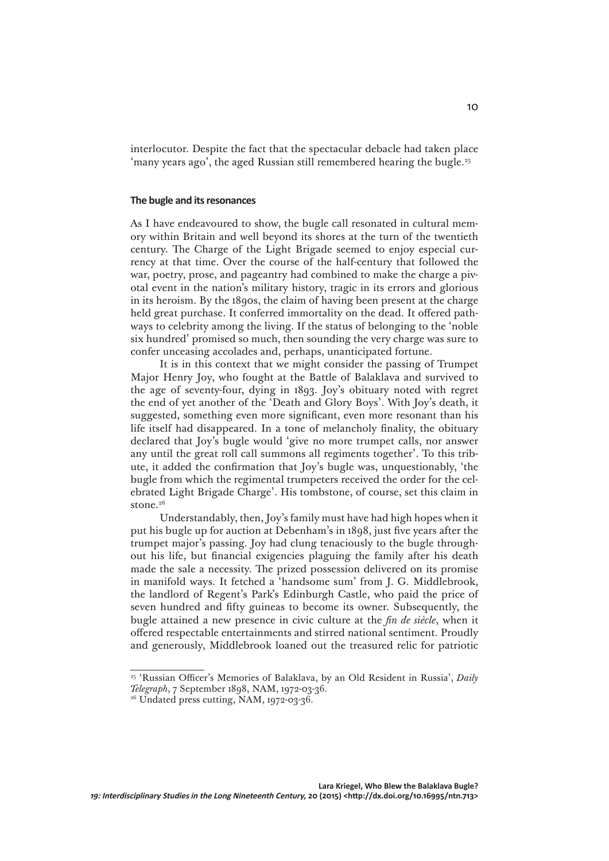interlocutor. Despite the fact that the spectacular debacle had taken place 'many years ago', the aged Russian still remembered hearing the bugle.<sup>25</sup>

### **The bugle and itsresonances**

As I have endeavoured to show, the bugle call resonated in cultural memory within Britain and well beyond its shores at the turn of the twentieth century. The Charge of the Light Brigade seemed to enjoy especial currency at that time. Over the course of the half-century that followed the war, poetry, prose, and pageantry had combined to make the charge a pivotal event in the nation's military history, tragic in its errors and glorious in its heroism. By the 1890s, the claim of having been present at the charge held great purchase. It conferred immortality on the dead. It offered pathways to celebrity among the living. If the status of belonging to the 'noble six hundred' promised so much, then sounding the very charge was sure to confer unceasing accolades and, perhaps, unanticipated fortune.

It is in this context that we might consider the passing of Trumpet Major Henry Joy, who fought at the Battle of Balaklava and survived to the age of seventy-four, dying in 1893. Joy's obituary noted with regret the end of yet another of the 'Death and Glory Boys'. With Joy's death, it suggested, something even more significant, even more resonant than his life itself had disappeared. In a tone of melancholy finality, the obituary declared that Joy's bugle would 'give no more trumpet calls, nor answer any until the great roll call summons all regiments together'. To this tribute, it added the confirmation that Joy's bugle was, unquestionably, 'the bugle from which the regimental trumpeters received the order for the celebrated Light Brigade Charge'. His tombstone, of course, set this claim in stone.<sup>26</sup>

Understandably, then, Joy's family must have had high hopes when it put his bugle up for auction at Debenham's in 1898, just five years after the trumpet major's passing. Joy had clung tenaciously to the bugle throughout his life, but financial exigencies plaguing the family after his death made the sale a necessity. The prized possession delivered on its promise in manifold ways. It fetched a 'handsome sum' from J. G. Middlebrook, the landlord of Regent's Park's Edinburgh Castle, who paid the price of seven hundred and fifty guineas to become its owner. Subsequently, the bugle attained a new presence in civic culture at the *fin de siècle*, when it offered respectable entertainments and stirred national sentiment. Proudly and generously, Middlebrook loaned out the treasured relic for patriotic

<sup>25 &#</sup>x27;Russian Officer's Memories of Balaklava, by an Old Resident in Russia', *Daily Telegraph*, 7 September 1898, NAM, 1972-03-36.

 $26$  Undated press cutting, NAM, 1972-03-36.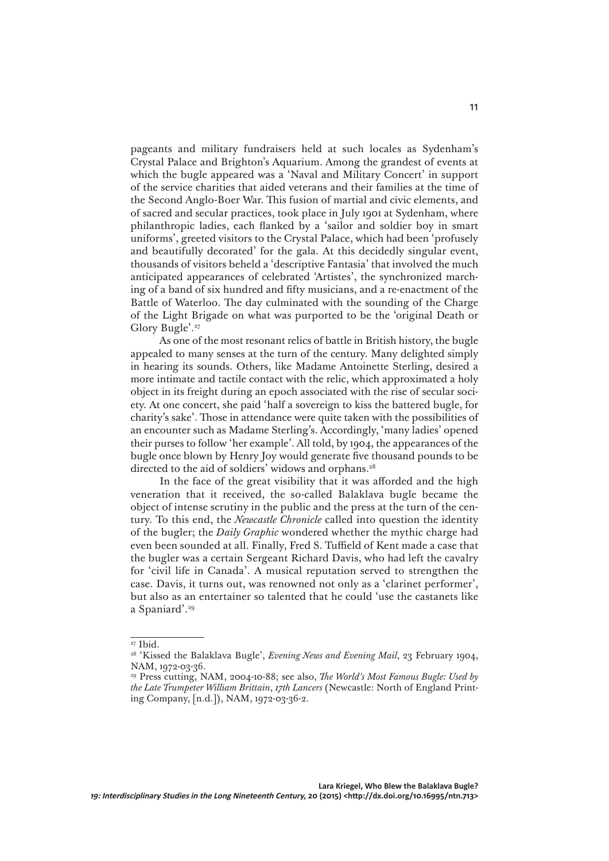pageants and military fundraisers held at such locales as Sydenham's Crystal Palace and Brighton's Aquarium. Among the grandest of events at which the bugle appeared was a 'Naval and Military Concert' in support of the service charities that aided veterans and their families at the time of the Second Anglo-Boer War. This fusion of martial and civic elements, and of sacred and secular practices, took place in July 1901 at Sydenham, where philanthropic ladies, each flanked by a 'sailor and soldier boy in smart uniforms', greeted visitors to the Crystal Palace, which had been 'profusely and beautifully decorated' for the gala. At this decidedly singular event, thousands of visitors beheld a 'descriptive Fantasia' that involved the much anticipated appearances of celebrated 'Artistes', the synchronized marching of a band of six hundred and fifty musicians, and a re-enactment of the Battle of Waterloo. The day culminated with the sounding of the Charge of the Light Brigade on what was purported to be the 'original Death or Glory Bugle'.27

As one of the most resonant relics of battle in British history, the bugle appealed to many senses at the turn of the century. Many delighted simply in hearing its sounds. Others, like Madame Antoinette Sterling, desired a more intimate and tactile contact with the relic, which approximated a holy object in its freight during an epoch associated with the rise of secular society. At one concert, she paid 'half a sovereign to kiss the battered bugle, for charity's sake'. Those in attendance were quite taken with the possibilities of an encounter such as Madame Sterling's. Accordingly, 'many ladies' opened their purses to follow 'her example'. All told, by 1904, the appearances of the bugle once blown by Henry Joy would generate five thousand pounds to be directed to the aid of soldiers' widows and orphans.<sup>28</sup>

In the face of the great visibility that it was afforded and the high veneration that it received, the so-called Balaklava bugle became the object of intense scrutiny in the public and the press at the turn of the century. To this end, the *Newcastle Chronicle* called into question the identity of the bugler; the *Daily Graphic* wondered whether the mythic charge had even been sounded at all. Finally, Fred S. Tuffield of Kent made a case that the bugler was a certain Sergeant Richard Davis, who had left the cavalry for 'civil life in Canada'. A musical reputation served to strengthen the case. Davis, it turns out, was renowned not only as a 'clarinet performer', but also as an entertainer so talented that he could 'use the castanets like a Spaniard'.<sup>29</sup>

<sup>27</sup> Ibid.

<sup>&</sup>lt;sup>28</sup> 'Kissed the Balaklava Bugle', *Evening News and Evening Mail*, 23 February 1904, NAM, 1972-03-36.

<sup>29</sup> Press cutting, NAM, 2004-10-88; see also, *The World's Most Famous Bugle: Used by the Late Trumpeter William Brittain*, *17th Lancers* (Newcastle: North of England Printing Company, [n.d.]), NAM, 1972-03-36-2.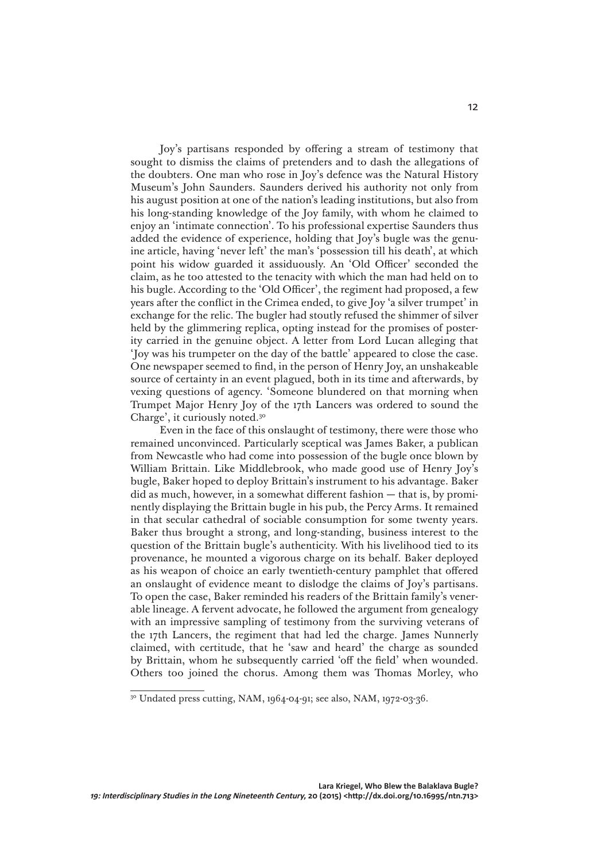Joy's partisans responded by offering a stream of testimony that sought to dismiss the claims of pretenders and to dash the allegations of the doubters. One man who rose in Joy's defence was the Natural History Museum's John Saunders. Saunders derived his authority not only from his august position at one of the nation's leading institutions, but also from his long-standing knowledge of the Joy family, with whom he claimed to enjoy an 'intimate connection'. To his professional expertise Saunders thus added the evidence of experience, holding that Joy's bugle was the genuine article, having 'never left' the man's 'possession till his death', at which point his widow guarded it assiduously. An 'Old Officer' seconded the claim, as he too attested to the tenacity with which the man had held on to his bugle. According to the 'Old Officer', the regiment had proposed, a few years after the conflict in the Crimea ended, to give Joy 'a silver trumpet' in exchange for the relic. The bugler had stoutly refused the shimmer of silver held by the glimmering replica, opting instead for the promises of posterity carried in the genuine object. A letter from Lord Lucan alleging that 'Joy was his trumpeter on the day of the battle' appeared to close the case. One newspaper seemed to find, in the person of Henry Joy, an unshakeable source of certainty in an event plagued, both in its time and afterwards, by vexing questions of agency. 'Someone blundered on that morning when Trumpet Major Henry Joy of the 17th Lancers was ordered to sound the Charge', it curiously noted.30

Even in the face of this onslaught of testimony, there were those who remained unconvinced. Particularly sceptical was James Baker, a publican from Newcastle who had come into possession of the bugle once blown by William Brittain. Like Middlebrook, who made good use of Henry Joy's bugle, Baker hoped to deploy Brittain's instrument to his advantage. Baker did as much, however, in a somewhat different fashion — that is, by prominently displaying the Brittain bugle in his pub, the Percy Arms. It remained in that secular cathedral of sociable consumption for some twenty years. Baker thus brought a strong, and long-standing, business interest to the question of the Brittain bugle's authenticity. With his livelihood tied to its provenance, he mounted a vigorous charge on its behalf. Baker deployed as his weapon of choice an early twentieth-century pamphlet that offered an onslaught of evidence meant to dislodge the claims of Joy's partisans. To open the case, Baker reminded his readers of the Brittain family's venerable lineage. A fervent advocate, he followed the argument from genealogy with an impressive sampling of testimony from the surviving veterans of the 17th Lancers, the regiment that had led the charge. James Nunnerly claimed, with certitude, that he 'saw and heard' the charge as sounded by Brittain, whom he subsequently carried 'off the field' when wounded. Others too joined the chorus. Among them was Thomas Morley, who

<sup>&</sup>lt;sup>30</sup> Undated press cutting, NAM, 1964-04-91; see also, NAM, 1972-03-36.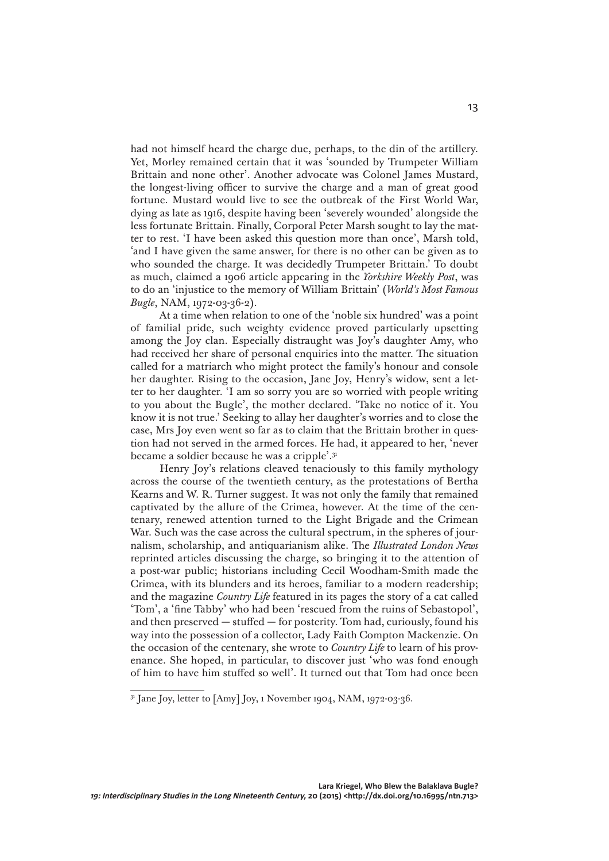had not himself heard the charge due, perhaps, to the din of the artillery. Yet, Morley remained certain that it was 'sounded by Trumpeter William Brittain and none other'. Another advocate was Colonel James Mustard, the longest-living officer to survive the charge and a man of great good fortune. Mustard would live to see the outbreak of the First World War, dying as late as 1916, despite having been 'severely wounded' alongside the less fortunate Brittain. Finally, Corporal Peter Marsh sought to lay the matter to rest. 'I have been asked this question more than once', Marsh told, 'and I have given the same answer, for there is no other can be given as to who sounded the charge. It was decidedly Trumpeter Brittain.' To doubt as much, claimed a 1906 article appearing in the *Yorkshire Weekly Post*, was to do an 'injustice to the memory of William Brittain' (*World's Most Famous Bugle*, NAM, 1972-03-36-2).

At a time when relation to one of the 'noble six hundred' was a point of familial pride, such weighty evidence proved particularly upsetting among the Joy clan. Especially distraught was Joy's daughter Amy, who had received her share of personal enquiries into the matter. The situation called for a matriarch who might protect the family's honour and console her daughter. Rising to the occasion, Jane Joy, Henry's widow, sent a letter to her daughter. 'I am so sorry you are so worried with people writing to you about the Bugle', the mother declared. 'Take no notice of it. You know it is not true.' Seeking to allay her daughter's worries and to close the case, Mrs Joy even went so far as to claim that the Brittain brother in question had not served in the armed forces. He had, it appeared to her, 'never became a soldier because he was a cripple'.31

Henry Joy's relations cleaved tenaciously to this family mythology across the course of the twentieth century, as the protestations of Bertha Kearns and W. R. Turner suggest. It was not only the family that remained captivated by the allure of the Crimea, however. At the time of the centenary, renewed attention turned to the Light Brigade and the Crimean War. Such was the case across the cultural spectrum, in the spheres of journalism, scholarship, and antiquarianism alike. The *Illustrated London News* reprinted articles discussing the charge, so bringing it to the attention of a post-war public; historians including Cecil Woodham-Smith made the Crimea, with its blunders and its heroes, familiar to a modern readership; and the magazine *Country Life* featured in its pages the story of a cat called 'Tom', a 'fine Tabby' who had been 'rescued from the ruins of Sebastopol', and then preserved  $-$  stuffed  $-$  for posterity. Tom had, curiously, found his way into the possession of a collector, Lady Faith Compton Mackenzie. On the occasion of the centenary, she wrote to *Country Life* to learn of his provenance. She hoped, in particular, to discover just 'who was fond enough of him to have him stuffed so well'. It turned out that Tom had once been

<sup>&</sup>lt;sup>31</sup> Jane Joy, letter to [Amy] Joy, 1 November 1904, NAM, 1972-03-36.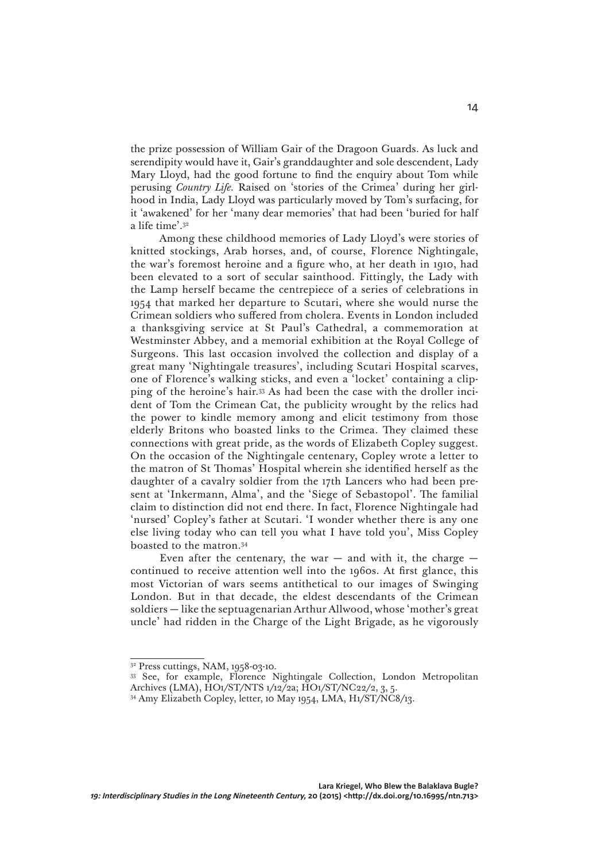the prize possession of William Gair of the Dragoon Guards. As luck and serendipity would have it, Gair's granddaughter and sole descendent, Lady Mary Lloyd, had the good fortune to find the enquiry about Tom while perusing *Country Life.* Raised on 'stories of the Crimea' during her girlhood in India, Lady Lloyd was particularly moved by Tom's surfacing, for it 'awakened' for her 'many dear memories' that had been 'buried for half a life time'.32

Among these childhood memories of Lady Lloyd's were stories of knitted stockings, Arab horses, and, of course, Florence Nightingale, the war's foremost heroine and a figure who, at her death in 1910, had been elevated to a sort of secular sainthood. Fittingly, the Lady with the Lamp herself became the centrepiece of a series of celebrations in 1954 that marked her departure to Scutari, where she would nurse the Crimean soldiers who suffered from cholera. Events in London included a thanksgiving service at St Paul's Cathedral, a commemoration at Westminster Abbey, and a memorial exhibition at the Royal College of Surgeons. This last occasion involved the collection and display of a great many 'Nightingale treasures', including Scutari Hospital scarves, one of Florence's walking sticks, and even a 'locket' containing a clipping of the heroine's hair.33 As had been the case with the droller incident of Tom the Crimean Cat, the publicity wrought by the relics had the power to kindle memory among and elicit testimony from those elderly Britons who boasted links to the Crimea. They claimed these connections with great pride, as the words of Elizabeth Copley suggest. On the occasion of the Nightingale centenary, Copley wrote a letter to the matron of St Thomas' Hospital wherein she identified herself as the daughter of a cavalry soldier from the 17th Lancers who had been present at 'Inkermann, Alma', and the 'Siege of Sebastopol'. The familial claim to distinction did not end there. In fact, Florence Nightingale had 'nursed' Copley's father at Scutari. 'I wonder whether there is any one else living today who can tell you what I have told you', Miss Copley boasted to the matron.34

Even after the centenary, the war  $-$  and with it, the charge  $$ continued to receive attention well into the 1960s. At first glance, this most Victorian of wars seems antithetical to our images of Swinging London. But in that decade, the eldest descendants of the Crimean soldiers — like the septuagenarian Arthur Allwood, whose 'mother's great uncle' had ridden in the Charge of the Light Brigade, as he vigorously

<sup>32</sup> Press cuttings, NAM, 1958-03-10.

<sup>33</sup> See, for example, Florence Nightingale Collection, London Metropolitan Archives (LMA), HO1/ST/NTS 1/12/2a; HO1/ST/NC22/2, 3, 5.

<sup>&</sup>lt;sup>34</sup> Amy Elizabeth Copley, letter, 10 May 1954, LMA, H1/ST/NC8/13.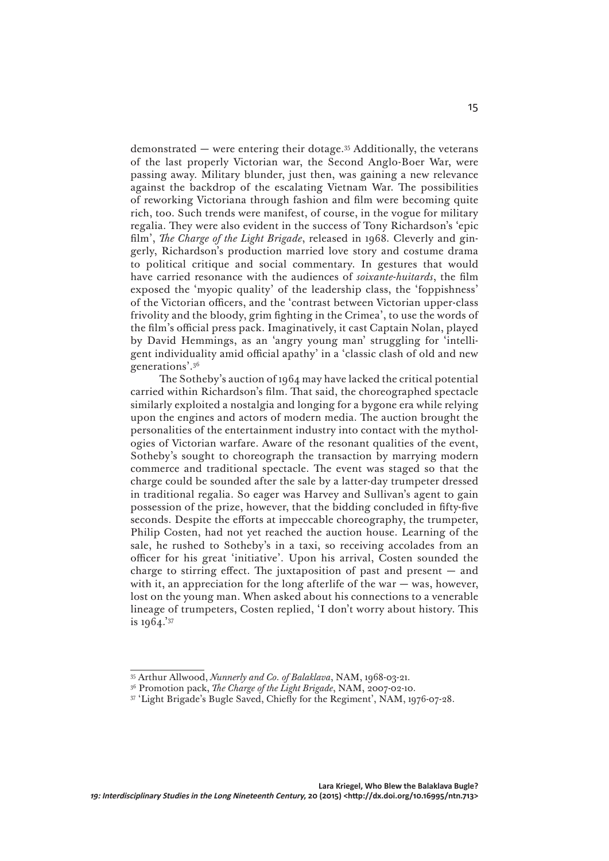demonstrated — were entering their dotage.35 Additionally, the veterans of the last properly Victorian war, the Second Anglo-Boer War, were passing away. Military blunder, just then, was gaining a new relevance against the backdrop of the escalating Vietnam War. The possibilities of reworking Victoriana through fashion and film were becoming quite rich, too. Such trends were manifest, of course, in the vogue for military regalia. They were also evident in the success of Tony Richardson's 'epic film', *The Charge of the Light Brigade*, released in 1968*.* Cleverly and gingerly, Richardson's production married love story and costume drama to political critique and social commentary. In gestures that would have carried resonance with the audiences of *soixante-huitards*, the film exposed the 'myopic quality' of the leadership class, the 'foppishness' of the Victorian officers, and the 'contrast between Victorian upper-class frivolity and the bloody, grim fighting in the Crimea', to use the words of the film's official press pack. Imaginatively, it cast Captain Nolan, played by David Hemmings, as an 'angry young man' struggling for 'intelligent individuality amid official apathy' in a 'classic clash of old and new generations'.36

The Sotheby's auction of 1964 may have lacked the critical potential carried within Richardson's film. That said, the choreographed spectacle similarly exploited a nostalgia and longing for a bygone era while relying upon the engines and actors of modern media. The auction brought the personalities of the entertainment industry into contact with the mythologies of Victorian warfare. Aware of the resonant qualities of the event, Sotheby's sought to choreograph the transaction by marrying modern commerce and traditional spectacle. The event was staged so that the charge could be sounded after the sale by a latter-day trumpeter dressed in traditional regalia. So eager was Harvey and Sullivan's agent to gain possession of the prize, however, that the bidding concluded in fifty-five seconds. Despite the efforts at impeccable choreography, the trumpeter, Philip Costen, had not yet reached the auction house. Learning of the sale, he rushed to Sotheby's in a taxi, so receiving accolades from an officer for his great 'initiative'. Upon his arrival, Costen sounded the charge to stirring effect. The juxtaposition of past and present  $-$  and with it, an appreciation for the long afterlife of the war  $-$  was, however, lost on the young man. When asked about his connections to a venerable lineage of trumpeters, Costen replied, 'I don't worry about history. This is 1964.'37

<sup>35</sup> Arthur Allwood, *Nunnerly and Co. of Balaklava*, NAM, 1968-03-21.

<sup>36</sup> Promotion pack, *The Charge of the Light Brigade*, NAM, 2007-02-10.

<sup>37 &#</sup>x27;Light Brigade's Bugle Saved, Chiefly for the Regiment', NAM, 1976-07-28.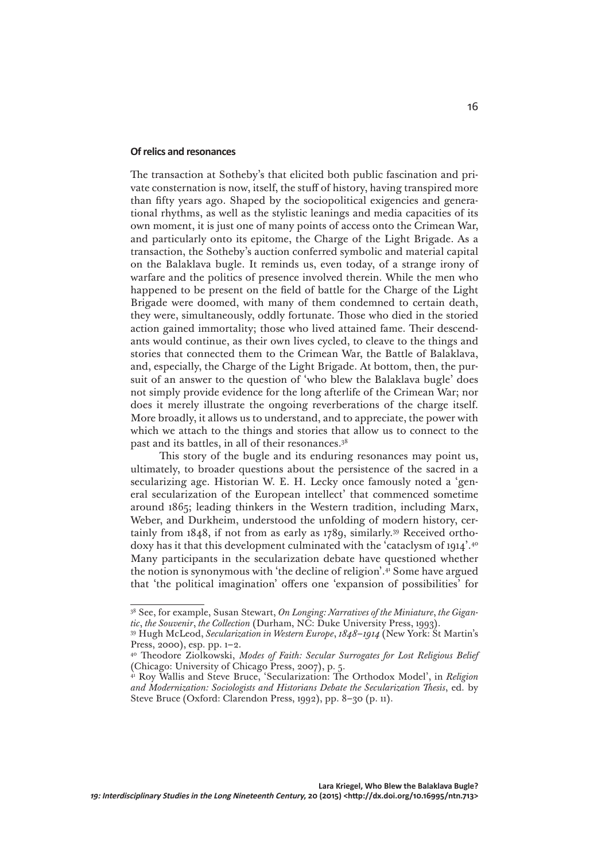#### **Ofrelics and resonances**

The transaction at Sotheby's that elicited both public fascination and private consternation is now, itself, the stuff of history, having transpired more than fifty years ago. Shaped by the sociopolitical exigencies and generational rhythms, as well as the stylistic leanings and media capacities of its own moment, it is just one of many points of access onto the Crimean War, and particularly onto its epitome, the Charge of the Light Brigade. As a transaction, the Sotheby's auction conferred symbolic and material capital on the Balaklava bugle. It reminds us, even today, of a strange irony of warfare and the politics of presence involved therein. While the men who happened to be present on the field of battle for the Charge of the Light Brigade were doomed, with many of them condemned to certain death, they were, simultaneously, oddly fortunate. Those who died in the storied action gained immortality; those who lived attained fame. Their descendants would continue, as their own lives cycled, to cleave to the things and stories that connected them to the Crimean War, the Battle of Balaklava, and, especially, the Charge of the Light Brigade. At bottom, then, the pursuit of an answer to the question of 'who blew the Balaklava bugle' does not simply provide evidence for the long afterlife of the Crimean War; nor does it merely illustrate the ongoing reverberations of the charge itself. More broadly, it allows us to understand, and to appreciate, the power with which we attach to the things and stories that allow us to connect to the past and its battles, in all of their resonances.38

This story of the bugle and its enduring resonances may point us, ultimately, to broader questions about the persistence of the sacred in a secularizing age. Historian W. E. H. Lecky once famously noted a 'general secularization of the European intellect' that commenced sometime around 1865; leading thinkers in the Western tradition, including Marx, Weber, and Durkheim, understood the unfolding of modern history, certainly from 1848, if not from as early as 1789, similarly.39 Received orthodoxy has it that this development culminated with the 'cataclysm of 1914'.40 Many participants in the secularization debate have questioned whether the notion is synonymous with 'the decline of religion'.41 Some have argued that 'the political imagination' offers one 'expansion of possibilities' for

<sup>38</sup> See, for example, Susan Stewart, *On Longing: Narratives of the Miniature*, *the Gigantic*, *the Souvenir*, *the Collection* (Durham, NC: Duke University Press, 1993).

<sup>39</sup> Hugh McLeod, *Secularization in Western Europe*, *1848–1914* (New York: St Martin's Press, 2000), esp. pp. 1–2.

<sup>40</sup> Theodore Ziolkowski, *Modes of Faith: Secular Surrogates for Lost Religious Belief* (Chicago: University of Chicago Press, 2007), p. 5.

<sup>41</sup> Roy Wallis and Steve Bruce, 'Secularization: The Orthodox Model', in *Religion and Modernization: Sociologists and Historians Debate the Secularization Thesis*, ed. by Steve Bruce (Oxford: Clarendon Press, 1992), pp. 8–30 (p. 11).